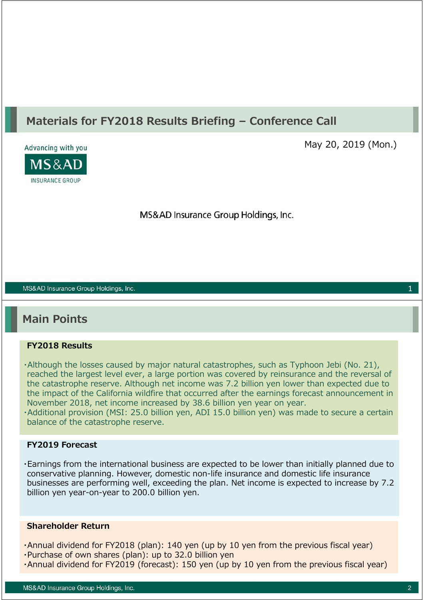### **Materials for FY2018 Results Briefing – Conference Call**



May 20, 2019 (Mon.)

MS&AD Insurance Group Holdings, Inc.

#### MS&AD Insurance Group Holdings, Inc.

### **Main Points**

#### **FY2018 Results**

- ・Although the losses caused by major natural catastrophes, such as Typhoon Jebi (No. 21), reached the largest level ever, a large portion was covered by reinsurance and the reversal of the catastrophe reserve. Although net income was 7.2 billion yen lower than expected due to the impact of the California wildfire that occurred after the earnings forecast announcement in November 2018, net income increased by 38.6 billion yen year on year.
- ・Additional provision (MSI: 25.0 billion yen, ADI 15.0 billion yen) was made to secure a certain balance of the catastrophe reserve.

#### **FY2019 Forecast**

・Earnings from the international business are expected to be lower than initially planned due to conservative planning. However, domestic non-life insurance and domestic life insurance businesses are performing well, exceeding the plan. Net income is expected to increase by 7.2 billion yen year-on-year to 200.0 billion yen.

#### **Shareholder Return**

- ・Annual dividend for FY2018 (plan): 140 yen (up by 10 yen from the previous fiscal year)
- ・Purchase of own shares (plan): up to 32.0 billion yen
- ・Annual dividend for FY2019 (forecast): 150 yen (up by 10 yen from the previous fiscal year)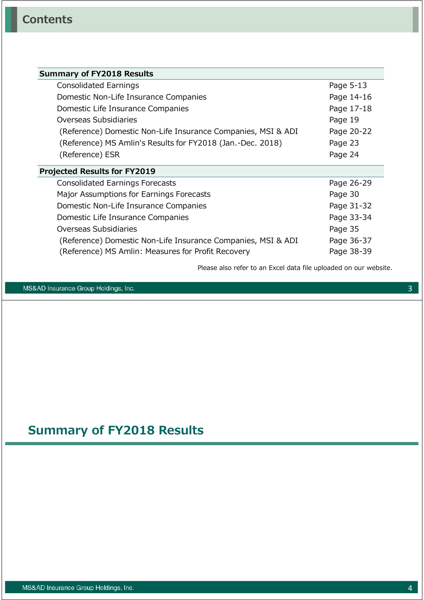| <b>Summary of FY2018 Results</b>                             |            |
|--------------------------------------------------------------|------------|
| Consolidated Earnings                                        | Page 5-13  |
| Domestic Non-Life Insurance Companies                        | Page 14-16 |
| Domestic Life Insurance Companies                            | Page 17-18 |
| Overseas Subsidiaries                                        | Page 19    |
| (Reference) Domestic Non-Life Insurance Companies, MSI & ADI | Page 20-22 |
| (Reference) MS Amlin's Results for FY2018 (Jan.-Dec. 2018)   | Page 23    |
| (Reference) ESR                                              | Page 24    |
| <b>Projected Results for FY2019</b>                          |            |
| <b>Consolidated Earnings Forecasts</b>                       | Page 26-29 |
| Major Assumptions for Earnings Forecasts                     | Page 30    |
| Domestic Non-Life Insurance Companies                        | Page 31-32 |
| Domestic Life Insurance Companies                            | Page 33-34 |
| Overseas Subsidiaries                                        | Page 35    |
| (Reference) Domestic Non-Life Insurance Companies, MSI & ADI | Page 36-37 |
| (Reference) MS Amlin: Measures for Profit Recovery           | Page 38-39 |

Please also refer to an Excel data file uploaded on our website.

MS&AD Insurance Group Holdings, Inc.

## **Summary of FY2018 Results**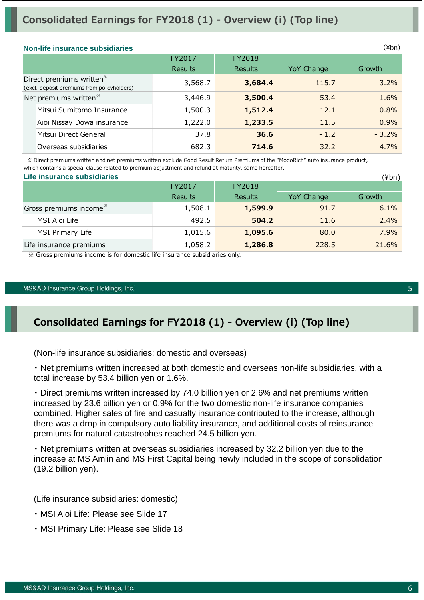### **Consolidated Earnings for FY2018 (1) - Overview (i) (Top line)**

#### **Non-life insurance subsidiaries**

|                                                                                     |                            | FY2017         | FY2018         |            |         |  |  |
|-------------------------------------------------------------------------------------|----------------------------|----------------|----------------|------------|---------|--|--|
|                                                                                     |                            | <b>Results</b> | <b>Results</b> | YoY Change | Growth  |  |  |
| Direct premiums written <sup>*</sup><br>(excl. deposit premiums from policyholders) |                            | 3,568.7        | 3,684.4        | 115.7      | 3.2%    |  |  |
| Net premiums written <sup>*</sup>                                                   |                            | 3,446.9        | 3,500.4        | 53.4       | 1.6%    |  |  |
|                                                                                     | Mitsui Sumitomo Insurance  | 1,500.3        | 1,512.4        | 12.1       | 0.8%    |  |  |
|                                                                                     | Aioi Nissay Dowa insurance | 1,222.0        | 1,233.5        | 11.5       | 0.9%    |  |  |
|                                                                                     | Mitsui Direct General      | 37.8           | 36.6           | $-1.2$     | $-3.2%$ |  |  |
|                                                                                     | Overseas subsidiaries      | 682.3          | 714.6          | 32.2       | 4.7%    |  |  |
|                                                                                     |                            |                |                |            |         |  |  |

 ※ Direct premiums written and net premiums written exclude Good Result Return Premiums of the "ModoRich" auto insurance product, which contains a special clause related to premium adjustment and refund at maturity, same hereafter.

| Life insurance subsidiaries        | (¥bn)          |                |            |        |  |  |  |  |
|------------------------------------|----------------|----------------|------------|--------|--|--|--|--|
|                                    | FY2017         | FY2018         |            |        |  |  |  |  |
|                                    | <b>Results</b> | <b>Results</b> | YoY Change | Growth |  |  |  |  |
| Gross premiums income <sup>*</sup> | 1,508.1        | 1,599.9        | 91.7       | 6.1%   |  |  |  |  |
| MSI Aioi Life                      | 492.5          | 504.2          | 11.6       | 2.4%   |  |  |  |  |
| MSI Primary Life                   | 1,015.6        | 1,095.6        | 80.0       | 7.9%   |  |  |  |  |
| Life insurance premiums            | 1,058.2        | 1,286.8        | 228.5      | 21.6%  |  |  |  |  |

※ Gross premiums income is for domestic life insurance subsidiaries only.

#### MS&AD Insurance Group Holdings, Inc.

### **Consolidated Earnings for FY2018 (1) - Overview (i) (Top line)**

#### (Non-life insurance subsidiaries: domestic and overseas)

・ Net premiums written increased at both domestic and overseas non-life subsidiaries, with a total increase by 53.4 billion yen or 1.6%.

・ Direct premiums written increased by 74.0 billion yen or 2.6% and net premiums written increased by 23.6 billion yen or 0.9% for the two domestic non-life insurance companies combined. Higher sales of fire and casualty insurance contributed to the increase, although there was a drop in compulsory auto liability insurance, and additional costs of reinsurance premiums for natural catastrophes reached 24.5 billion yen.

・ Net premiums written at overseas subsidiaries increased by 32.2 billion yen due to the increase at MS Amlin and MS First Capital being newly included in the scope of consolidation (19.2 billion yen).

#### (Life insurance subsidiaries: domestic)

- ・ MSI Aioi Life: Please see Slide 17
- ・ MSI Primary Life: Please see Slide 18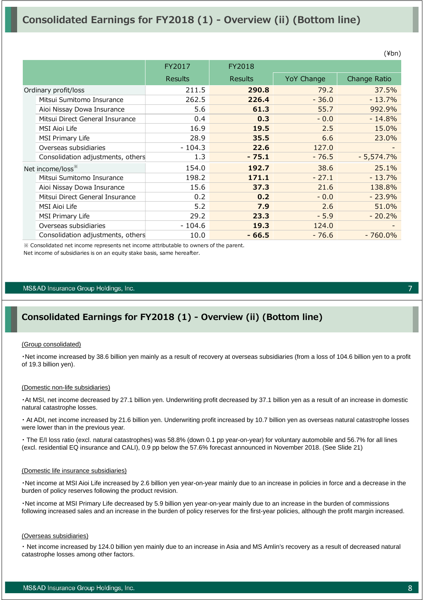### **Consolidated Earnings for FY2018 (1) - Overview (ii) (Bottom line)**

|                      |                                   | FY2017         | FY2018         |                   |              |
|----------------------|-----------------------------------|----------------|----------------|-------------------|--------------|
|                      |                                   | <b>Results</b> | <b>Results</b> | <b>YoY Change</b> | Change Ratio |
| Ordinary profit/loss |                                   | 211.5          | 290.8          | 79.2              | 37.5%        |
|                      | Mitsui Sumitomo Insurance         | 262.5          | 226.4          | $-36.0$           | $-13.7%$     |
|                      | Aioi Nissay Dowa Insurance        | 5.6            | 61.3           | 55.7              | 992.9%       |
|                      | Mitsui Direct General Insurance   | 0.4            | 0.3            | $-0.0$            | $-14.8%$     |
|                      | MSI Aioi Life                     | 16.9           | 19.5           | 2.5               | 15.0%        |
|                      | <b>MSI Primary Life</b>           | 28.9           | 35.5           | 6.6               | 23.0%        |
|                      | Overseas subsidiaries             | $-104.3$       | 22.6           | 127.0             |              |
|                      | Consolidation adjustments, others | 1.3            | $-75.1$        | $-76.5$           | $-5,574.7%$  |
|                      | Net income/loss <sup>**</sup>     | 154.0          | 192.7          | 38.6              | 25.1%        |
|                      | Mitsui Sumitomo Insurance         | 198.2          | 171.1          | $-27.1$           | $-13.7%$     |
|                      | Aioi Nissay Dowa Insurance        | 15.6           | 37.3           | 21.6              | 138.8%       |
|                      | Mitsui Direct General Insurance   | 0.2            | 0.2            | $-0.0$            | $-23.9%$     |
|                      | MSI Aioi Life                     | 5.2            | 7.9            | 2.6               | 51.0%        |
|                      | <b>MSI Primary Life</b>           | 29.2           | 23.3           | $-5.9$            | $-20.2%$     |
|                      | Overseas subsidiaries             | $-104.6$       | 19.3           | 124.0             |              |
|                      | Consolidation adjustments, others | 10.0           | $-66.5$        | $-76.6$           | $-760.0\%$   |

※ Consolidated net income represents net income attributable to owners of the parent. Net income of subsidiaries is on an equity stake basis, same hereafter.

#### MS&AD Insurance Group Holdings, Inc.

### **Consolidated Earnings for FY2018 (1) - Overview (ii) (Bottom line)**

#### (Group consolidated)

・Net income increased by 38.6 billion yen mainly as a result of recovery at overseas subsidiaries (from a loss of 104.6 billion yen to a profit of 19.3 billion yen).

#### (Domestic non-life subsidiaries)

・At MSI, net income decreased by 27.1 billion yen. Underwriting profit decreased by 37.1 billion yen as a result of an increase in domestic natural catastrophe losses.

・ At ADI, net income increased by 21.6 billion yen. Underwriting profit increased by 10.7 billion yen as overseas natural catastrophe losses were lower than in the previous year.

・ The E/I loss ratio (excl. natural catastrophes) was 58.8% (down 0.1 pp year-on-year) for voluntary automobile and 56.7% for all lines (excl. residential EQ insurance and CALI), 0.9 pp below the 57.6% forecast announced in November 2018. (See Slide 21)

#### (Domestic life insurance subsidiaries)

・Net income at MSI Aioi Life increased by 2.6 billion yen year-on-year mainly due to an increase in policies in force and a decrease in the burden of policy reserves following the product revision.

・Net income at MSI Primary Life decreased by 5.9 billion yen year-on-year mainly due to an increase in the burden of commissions following increased sales and an increase in the burden of policy reserves for the first-year policies, although the profit margin increased.

#### (Overseas subsidiaries)

・ Net income increased by 124.0 billion yen mainly due to an increase in Asia and MS Amlin's recovery as a result of decreased natural catastrophe losses among other factors.

7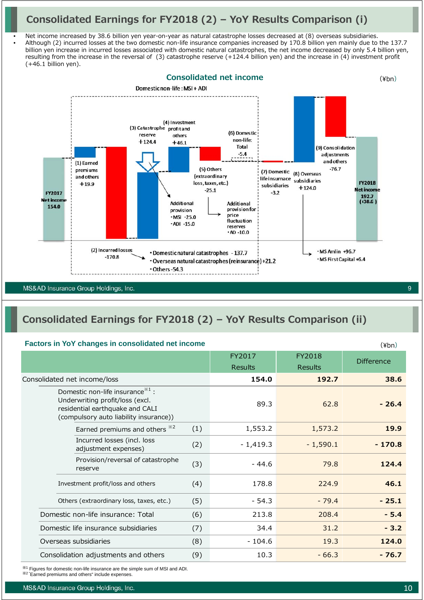### **Consolidated Earnings for FY2018 (2) – YoY Results Comparison (i)**

• Net income increased by 38.6 billion yen year-on-year as natural catastrophe losses decreased at (8) overseas subsidiaries. • Although (2) incurred losses at the two domestic non-life insurance companies increased by 170.8 billion yen mainly due to the 137.7 billion yen increase in incurred losses associated with domestic natural catastrophes, the net income decreased by only 5.4 billion yen, resulting from the increase in the reversal of (3) catastrophe reserve (+124.4 billion yen) and the increase in (4) investment profit  $(+46.1$  billion yen).



### **Consolidated Earnings for FY2018 (2) – YoY Results Comparison (ii)**

#### **Factors in YoY changes in consolidated net income**

|                                                                                                                                                              |     | $\cdots$       |                |                   |
|--------------------------------------------------------------------------------------------------------------------------------------------------------------|-----|----------------|----------------|-------------------|
|                                                                                                                                                              |     | FY2017         | FY2018         | <b>Difference</b> |
|                                                                                                                                                              |     | <b>Results</b> | <b>Results</b> |                   |
| Consolidated net income/loss                                                                                                                                 |     | 154.0          | 192.7          | 38.6              |
| Domestic non-life insurance <sup>**1</sup> :<br>Underwriting profit/loss (excl.<br>residential earthquake and CALI<br>(compulsory auto liability insurance)) |     | 89.3           | 62.8           | $-26.4$           |
| Earned premiums and others *2                                                                                                                                | (1) | 1,553.2        | 1,573.2        | 19.9              |
| Incurred losses (incl. loss<br>adjustment expenses)                                                                                                          | (2) | $-1,419.3$     | $-1,590.1$     | $-170.8$          |
| Provision/reversal of catastrophe<br>reserve                                                                                                                 | (3) | $-44.6$        | 79.8           | 124.4             |
| Investment profit/loss and others                                                                                                                            | (4) | 178.8          | 224.9          | 46.1              |
| Others (extraordinary loss, taxes, etc.)                                                                                                                     | (5) | $-54.3$        | $-79.4$        | $-25.1$           |
| Domestic non-life insurance: Total                                                                                                                           | (6) | 213.8          | 208.4          | $-5.4$            |
| Domestic life insurance subsidiaries                                                                                                                         | (7) | 34.4           | 31.2           | $-3.2$            |
| Overseas subsidiaries                                                                                                                                        | (8) | $-104.6$       | 19.3           | 124.0             |
| Consolidation adjustments and others                                                                                                                         | (9) | 10.3           | $-66.3$        | $-76.7$           |

※<sup>1</sup> Figures for domestic non-life insurance are the simple sum of MSI and ADI. ※2 "Earned premiums and others" include expenses.

 $(Yhn)$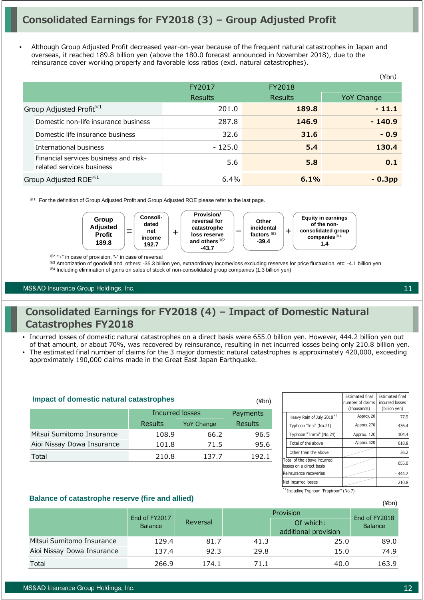• Although Group Adjusted Profit decreased year-on-year because of the frequent natural catastrophes in Japan and overseas, it reached 189.8 billion yen (above the 180.0 forecast announced in November 2018), due to the reinsurance cover working properly and favorable loss ratios (excl. natural catastrophes).

|                                                                    |                  |                | (¥bn)      |
|--------------------------------------------------------------------|------------------|----------------|------------|
|                                                                    | FY2018<br>FY2017 |                |            |
|                                                                    | <b>Results</b>   | <b>Results</b> | YoY Change |
| Group Adjusted Profit <sup>*1</sup>                                | 201.0            | 189.8          | $-11.1$    |
| Domestic non-life insurance business                               | 287.8            | 146.9          | $-140.9$   |
| Domestic life insurance business                                   | 32.6             | 31.6           | $-0.9$     |
| International business                                             | $-125.0$         | 5.4            | 130.4      |
| Financial services business and risk-<br>related services business | 5.6              | 5.8            | 0.1        |
| Group Adjusted ROE <sup>*1</sup>                                   | 6.4%             | 6.1%           | $-0.3pp$   |

※<sup>1</sup> For the definition of Group Adjusted Profit and Group Adjusted ROE please refer to the last page.



※2 "+" in case of provision, "-" in case of reversal

※<sup>3</sup> Amortization of goodwill and others: -35.3 billion yen, extraordinary income/loss excluding reserves for price fluctuation, etc: -4.1 billion yen

※<sup>4</sup> Including elimination of gains on sales of stock of non-consolidated group companies (1.3 billion yen)

#### MS&AD Insurance Group Holdings, Inc.

### **Consolidated Earnings for FY2018 (4) – Impact of Domestic Natural Catastrophes FY2018**

- Incurred losses of domestic natural catastrophes on a direct basis were 655.0 billion yen. However, 444.2 billion yen out of that amount, or about 70%, was recovered by reinsurance, resulting in net incurred losses being only 210.8 billion yen. • The estimated final number of claims for the 3 major domestic natural catastrophes is approximately 420,000, exceeding
	- approximately 190,000 claims made in the Great East Japan Earthquake.

| <b>Impact of domestic natural catastrophes</b> | (¥bn)           |                   |                |
|------------------------------------------------|-----------------|-------------------|----------------|
|                                                | Incurred losses | Payments          |                |
|                                                | Results         | <b>YoY Change</b> | <b>Results</b> |
| Mitsui Sumitomo Insurance                      | 108.9           | 66.2              | 96.5           |
| Aioi Nissay Dowa Insurance                     | 101.8           | 71.5              | 95.6           |
| Total                                          | 210.8           | 137.7             | 192.1          |

|                                                         |                                       | <b>Estimated final</b><br>number of claims<br>(thousands) | <b>Estimated final</b><br>incurred losses<br>(billion yen) |
|---------------------------------------------------------|---------------------------------------|-----------------------------------------------------------|------------------------------------------------------------|
|                                                         | Heavy Rain of July 2018 <sup>*1</sup> | Approx. 20                                                | 77.9                                                       |
|                                                         | Typhoon "Jebi" (No.21)                | Approx. 270                                               | 436.4                                                      |
|                                                         | Typhoon "Trami" (No.24)               | Approx. 120                                               | 104.4                                                      |
|                                                         | Total of the above                    | Approx. 420                                               | 618.8                                                      |
|                                                         | Other than the above                  |                                                           | 36.2                                                       |
| Total of the above incurred<br>losses on a direct basis |                                       |                                                           | 655.0                                                      |
| Reinsurance recoveries                                  |                                       |                                                           | - 444.2                                                    |
|                                                         | Net incurred losses                   |                                                           | 210.8                                                      |

\*1 Including Typhoon "Prapiroon" (No.7)

#### **Balance of catastrophe reserve (fire and allied)**

|                            | End of FY2017  |          |      | End of FY2018                     |         |  |
|----------------------------|----------------|----------|------|-----------------------------------|---------|--|
|                            | <b>Balance</b> | Reversal |      | Of which:<br>additional provision | Balance |  |
| Mitsui Sumitomo Insurance  | 129.4          | 81.7     | 41.3 | 25.0                              | 89.0    |  |
| Aioi Nissay Dowa Insurance | 137.4          | 92.3     | 29.8 | 15.0                              | 74.9    |  |
| Total                      | 266.9          | 174.1    | 71.1 | 40.0                              | 163.9   |  |

(¥bn)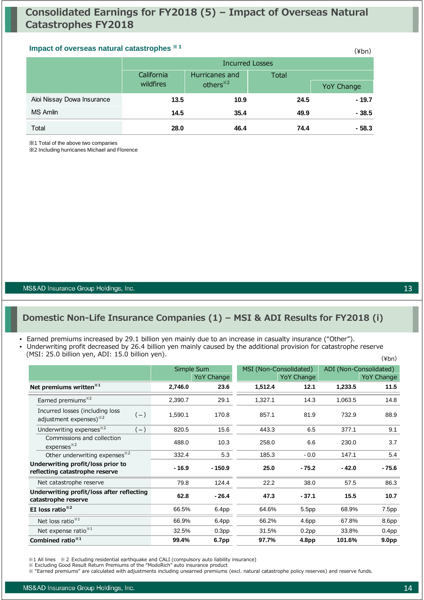### **Impact of overseas natural catastrophes**  $*1$  *Algebraical**Algebraical**Algebraical**Algebraical**Algebraical**Algebraical**Algebraical**Algebraical**Algebraical**Algebraical**Algebraical**Algebraical**Algeb*

|                            |            | <b>Incurred Losses</b> |              |            |  |  |  |
|----------------------------|------------|------------------------|--------------|------------|--|--|--|
|                            | California | Hurricanes and         | <b>Total</b> |            |  |  |  |
|                            | wildfires  | others <sup>*2</sup>   |              | YoY Change |  |  |  |
| Aioi Nissay Dowa Insurance | 13.5       | 10.9                   | 24.5         | $-19.7$    |  |  |  |
| <b>MS Amlin</b>            | 14.5       | 35.4                   | 49.9         | $-38.5$    |  |  |  |
| Total                      | 28.0       | 46.4                   | 74.4         | $-58.3$    |  |  |  |

※1 Total of the above two companies

※2 Including hurricanes Michael and Florence

MS&AD Insurance Group Holdings, Inc.

### **Domestic Non-Life Insurance Companies (1) – MSI & ADI Results for FY2018 (i)**

#### • Earned premiums increased by 29.1 billion yen mainly due to an increase in casualty insurance ("Other").

- Underwriting profit decreased by 26.4 billion yen mainly caused by the additional provision for catastrophe reserve
	- (MSI: 25.0 billion yen, ADI: 15.0 billion yen).

| (1191. 23.0 DIIIIUI YEIT, ADI. 13.0 DIIIIUI YEIT).                             |         |                          |                        |                   |                        | $(\frac{\varepsilon}{\varepsilon})$ |
|--------------------------------------------------------------------------------|---------|--------------------------|------------------------|-------------------|------------------------|-------------------------------------|
|                                                                                |         | Simple Sum<br>YoY Change | MSI (Non-Consolidated) | YoY Change        | ADI (Non-Consolidated) | YoY Change                          |
| Net premiums written <sup>*1</sup>                                             | 2,746.0 | 23.6                     | 1,512.4                | 12.1              | 1,233.5                | 11.5                                |
| Earned premiums <sup>*2</sup>                                                  | 2,390.7 | 29.1                     | 1,327.1                | 14.3              | 1,063.5                | 14.8                                |
| Incurred losses (including loss<br>$(-)$<br>adjustment expenses) <sup>32</sup> | 1,590.1 | 170.8                    | 857.1                  | 81.9              | 732.9                  | 88.9                                |
| Underwriting expenses <sup>*2</sup><br>$(-)$                                   | 820.5   | 15.6                     | 443.3                  | 6.5               | 377.1                  | 9.1                                 |
| Commissions and collection<br>expenses <sup>32</sup>                           | 488.0   | 10.3                     | 258.0                  | 6.6               | 230.0                  | 3.7                                 |
| Other underwriting expenses <sup>*2</sup>                                      | 332.4   | 5.3                      | 185.3                  | $-0.0$            | 147.1                  | 5.4                                 |
| Underwriting profit/loss prior to<br>reflecting catastrophe reserve            | $-16.9$ | $-150.9$                 | 25.0                   | $-75.2$           | $-42.0$                | $-75.6$                             |
| Net catastrophe reserve                                                        | 79.8    | 124.4                    | 22.2                   | 38.0              | 57.5                   | 86.3                                |
| Underwriting profit/loss after reflecting<br>catastrophe reserve               | 62.8    | $-26.4$                  | 47.3                   | $-37.1$           | 15.5                   | 10.7                                |
| EI loss ratio $*^{2}$                                                          | 66.5%   | 6.4pp                    | 64.6%                  | 5.5pp             | 68.9%                  | 7.5pp                               |
| Net loss ratio <sup>**1</sup>                                                  | 66.9%   | 6.4pp                    | 66.2%                  | 4.6pp             | 67.8%                  | 8.6pp                               |
| Net expense ratio $*1$                                                         | 32.5%   | 0.3 <sub>pp</sub>        | 31.5%                  | 0.2 <sub>pp</sub> | 33.8%                  | 0.4 <sub>pp</sub>                   |
| Combined ratio $*1$                                                            | 99.4%   | 6.7pp                    | 97.7%                  | 4.8pp             | 101.6%                 | 9.0pp                               |

<sup>※1</sup> All lines ※2 Excluding residential earthquake and CALI (compulsory auto liability insurance)

<sup>※</sup> Excluding Good Result Return Premiums of the "ModoRich" auto insurance product

<sup>※ &</sup>quot;Earned premiums" are calculated with adjustments including unearned premiums (excl. natural catastrophe policy reserves) and reserve funds.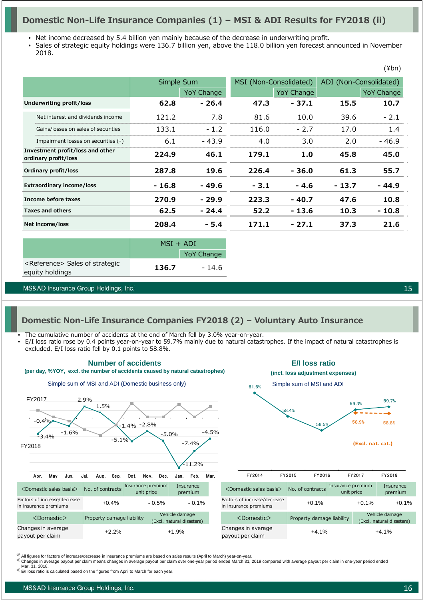### **Domestic Non-Life Insurance Companies (1) – MSI & ADI Results for FY2018 (ii)**

• Net income decreased by 5.4 billion yen mainly because of the decrease in underwriting profit.

• Sales of strategic equity holdings were 136.7 billion yen, above the 118.0 billion yen forecast announced in November 2018.

|                          |                                                          |         | Simple Sum        |        | MSI (Non-Consolidated) |         | ADI (Non-Consolidated) |
|--------------------------|----------------------------------------------------------|---------|-------------------|--------|------------------------|---------|------------------------|
|                          |                                                          |         | <b>YoY Change</b> |        | YoY Change             |         | <b>YoY Change</b>      |
| Underwriting profit/loss |                                                          | 62.8    | $-26.4$           | 47.3   | $-37.1$                | 15.5    | 10.7                   |
|                          | Net interest and dividends income                        | 121.2   | 7.8               | 81.6   | 10.0                   | 39.6    | $-2.1$                 |
|                          | Gains/losses on sales of securities                      | 133.1   | $-1.2$            | 116.0  | $-2.7$                 | 17.0    | 1.4                    |
|                          | Impairment losses on securities (-)                      | 6.1     | $-43.9$           | 4.0    | 3.0                    | 2.0     | $-46.9$                |
|                          | Investment profit/loss and other<br>ordinary profit/loss | 224.9   | 46.1              | 179.1  | 1.0                    | 45.8    | 45.0                   |
|                          | Ordinary profit/loss                                     | 287.8   | 19.6              | 226.4  | - 36.0                 | 61.3    | 55.7                   |
|                          | <b>Extraordinary income/loss</b>                         | $-16.8$ | - 49.6            | $-3.1$ | $-4.6$                 | $-13.7$ | - 44.9                 |
|                          | Income before taxes                                      | 270.9   | $-29.9$           | 223.3  | $-40.7$                | 47.6    | 10.8                   |
|                          | <b>Taxes and others</b>                                  | 62.5    | $-24.4$           | 52.2   | - 13.6                 | 10.3    | $-10.8$                |
|                          | Net income/loss                                          | 208.4   | - 5.4             | 171.1  | $-27.1$                | 37.3    | 21.6                   |

|                                                                | $MSI + ADI$ |                   |
|----------------------------------------------------------------|-------------|-------------------|
|                                                                |             | <b>YoY Change</b> |
| <reference> Sales of strategic<br/>equity holdings</reference> | 136.7       | - 14.6            |

MS&AD Insurance Group Holdings, Inc.

15

(¥bn)

#### **Domestic Non-Life Insurance Companies FY2018 (2) – Voluntary Auto Insurance**

- The cumulative number of accidents at the end of March fell by 3.0% year-on-year.
- E/I loss ratio rose by 0.4 points year-on-year to 59.7% mainly due to natural catastrophes. If the impact of natural catastrophes is excluded, E/I loss ratio fell by 0.1 points to 58.8%.



<sup>※</sup> All figures for factors of increase/decrease in insurance premiums are based on sales results (April to March) year-on-year.<br><sup>※</sup> Changes in average payout per claim means changes in average payout per claim over one-ye

E/I loss ratio is calculated based on the figures from April to March for each year.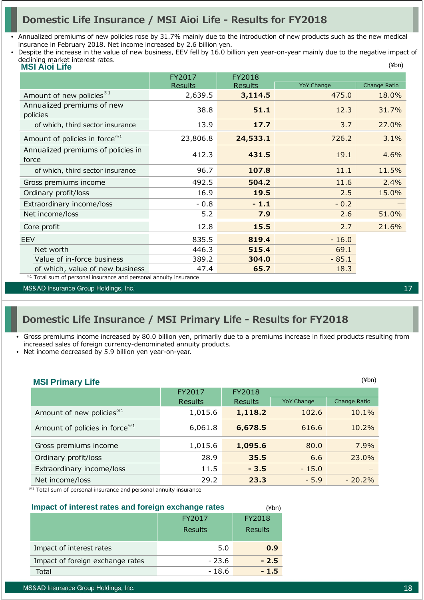### **Domestic Life Insurance / MSI Aioi Life - Results for FY2018**

- Annualized premiums of new policies rose by 31.7% mainly due to the introduction of new products such as the new medical insurance in February 2018. Net income increased by 2.6 billion yen.
- (¥bn) • Despite the increase in the value of new business, EEV fell by 16.0 billion yen year-on-year mainly due to the negative impact of declining market interest rates.

| <b>MSI Aioi Life</b>                                              |                |                |                   | (¥bn)        |
|-------------------------------------------------------------------|----------------|----------------|-------------------|--------------|
|                                                                   | FY2017         | FY2018         |                   |              |
|                                                                   | <b>Results</b> | <b>Results</b> | <b>YoY Change</b> | Change Ratio |
| Amount of new policies <sup>*1</sup>                              | 2,639.5        | 3,114.5        | 475.0             | 18.0%        |
| Annualized premiums of new                                        | 38.8           | 51.1           | 12.3              | 31.7%        |
| policies                                                          |                |                |                   |              |
| of which, third sector insurance                                  | 13.9           | 17.7           | 3.7               | 27.0%        |
| Amount of policies in force $*1$                                  | 23,806.8       | 24,533.1       | 726.2             | 3.1%         |
| Annualized premiums of policies in                                | 412.3          | 431.5          | 19.1              | 4.6%         |
| force                                                             |                |                |                   |              |
| of which, third sector insurance                                  | 96.7           | 107.8          | 11.1              | 11.5%        |
| Gross premiums income                                             | 492.5          | 504.2          | 11.6              | 2.4%         |
| Ordinary profit/loss                                              | 16.9           | 19.5           | 2.5               | 15.0%        |
| Extraordinary income/loss                                         | $-0.8$         | $-1.1$         | $-0.2$            |              |
| Net income/loss                                                   | 5.2            | 7.9            | 2.6               | 51.0%        |
| Core profit                                                       | 12.8           | 15.5           | 2.7               | 21.6%        |
| <b>EEV</b>                                                        | 835.5          | 819.4          | $-16.0$           |              |
| Net worth                                                         | 446.3          | 515.4          | 69.1              |              |
| Value of in-force business                                        | 389.2          | 304.0          | $-85.1$           |              |
| of which, value of new business                                   | 47.4           | 65.7           | 18.3              |              |
| *1 Total sum of personal insurance and personal annuity insurance |                |                |                   |              |

MS&AD Insurance Group Holdings, Inc.

### **Domestic Life Insurance / MSI Primary Life - Results for FY2018**

• Gross premiums income increased by 80.0 billion yen, primarily due to a premiums increase in fixed products resulting from increased sales of foreign currency-denominated annuity products.

• Net income decreased by 5.9 billion yen year-on-year.

| <b>MSI Primary Life</b>                    |                |                |                   | $(\n  4bn)$  |
|--------------------------------------------|----------------|----------------|-------------------|--------------|
|                                            | FY2017         | FY2018         |                   |              |
|                                            | <b>Results</b> | <b>Results</b> | <b>YoY Change</b> | Change Ratio |
| Amount of new policies <sup>*1</sup>       | 1,015.6        | 1,118.2        | 102.6             | 10.1%        |
| Amount of policies in force <sup>**1</sup> | 6,061.8        | 6,678.5        | 616.6             | 10.2%        |
| Gross premiums income                      | 1,015.6        | 1,095.6        | 80.0              | 7.9%         |
| Ordinary profit/loss                       | 28.9           | 35.5           | 6.6               | 23.0%        |
| Extraordinary income/loss                  | 11.5           | $-3.5$         | $-15.0$           |              |
| Net income/loss                            | 29.2           | 23.3           | $-5.9$            | $-20.2%$     |

(¥bn)

※1 Total sum of personal insurance and personal annuity insurance

### **Impact of interest rates and foreign exchange rates**

|                                  | FY2017  | FY2018         |
|----------------------------------|---------|----------------|
|                                  | Results | <b>Results</b> |
| Impact of interest rates         | 5.0     | 0.9            |
| Impact of foreign exchange rates | - 23.6  | $-2.5$         |
| Total                            | - 18.6  | $-1.5$         |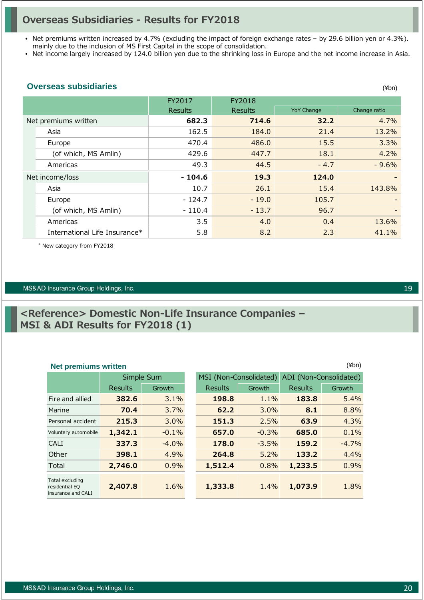### **Overseas Subsidiaries - Results for FY2018**

• Net premiums written increased by 4.7% (excluding the impact of foreign exchange rates – by 29.6 billion yen or 4.3%). mainly due to the inclusion of MS First Capital in the scope of consolidation.

• Net income largely increased by 124.0 billion yen due to the shrinking loss in Europe and the net income increase in Asia.

#### **Overseas subsidiaries**

|                               | FY2017         | FY2018         |                   |                          |
|-------------------------------|----------------|----------------|-------------------|--------------------------|
|                               | <b>Results</b> | <b>Results</b> | <b>YoY Change</b> | Change ratio             |
| Net premiums written          | 682.3          | 714.6          | 32.2              | 4.7%                     |
| Asia                          | 162.5          | 184.0          | 21.4              | 13.2%                    |
| Europe                        | 470.4          | 486.0          | 15.5              | 3.3%                     |
| (of which, MS Amlin)          | 429.6          | 447.7          | 18.1              | 4.2%                     |
| Americas                      | 49.3           | 44.5           | $-4.7$            | $-9.6%$                  |
| Net income/loss               | $-104.6$       | 19.3           | 124.0             | $\overline{\phantom{0}}$ |
| Asia                          | 10.7           | 26.1           | 15.4              | 143.8%                   |
| Europe                        | - 124.7        | $-19.0$        | 105.7             |                          |
| (of which, MS Amlin)          | $-110.4$       | $-13.7$        | 96.7              |                          |
| Americas                      | 3.5            | 4.0            | 0.4               | 13.6%                    |
| International Life Insurance* | 5.8            | 8.2            | 2.3               | 41.1%                    |

\* New category from FY2018

#### MS&AD Insurance Group Holdings, Inc.

### **<Reference> Domestic Non-Life Insurance Companies – MSI & ADI Results for FY2018 (1)**

#### **Net premiums written** (¥bn)

|                                                         | Simple Sum |         |                | MSI (Non-Consolidated) | ADI (Non-Consolidated) |         |
|---------------------------------------------------------|------------|---------|----------------|------------------------|------------------------|---------|
|                                                         | Results    | Growth  | <b>Results</b> | Growth                 | Results                | Growth  |
| Fire and allied                                         | 382.6      | 3.1%    | 198.8          | 1.1%                   | 183.8                  | 5.4%    |
| Marine                                                  | 70.4       | 3.7%    | 62.2           | 3.0%                   | 8.1                    | 8.8%    |
| Personal accident                                       | 215.3      | 3.0%    | 151.3          | 2.5%                   | 63.9                   | 4.3%    |
| Voluntary automobile                                    | 1,342.1    | $-0.1%$ | 657.0          | $-0.3%$                | 685.0                  | 0.1%    |
| <b>CALI</b>                                             | 337.3      | $-4.0%$ | 178.0          | $-3.5%$                | 159.2                  | $-4.7%$ |
| Other                                                   | 398.1      | 4.9%    | 264.8          | 5.2%                   | 133.2                  | 4.4%    |
| Total                                                   | 2,746.0    | 0.9%    | 1,512.4        | 0.8%                   | 1,233.5                | 0.9%    |
| Total excluding<br>residential EQ<br>insurance and CALI | 2,407.8    | 1.6%    | 1,333.8        | 1.4%                   | 1,073.9                | 1.8%    |

19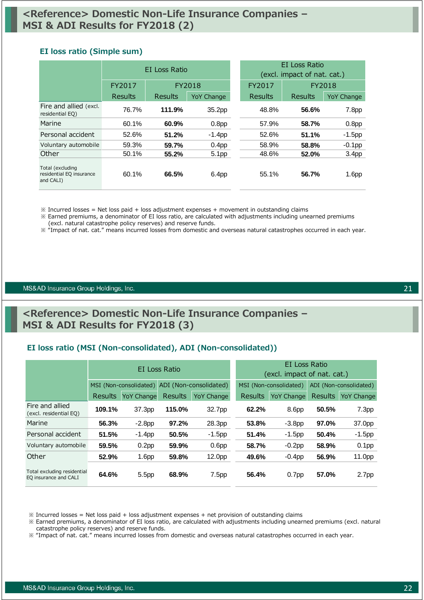#### **EI loss ratio (Simple sum)**

|                                                           | EI Loss Ratio |         |                   | <b>FI</b> Loss Ratio<br>(excl. impact of nat. cat.) |         |                   |
|-----------------------------------------------------------|---------------|---------|-------------------|-----------------------------------------------------|---------|-------------------|
|                                                           | FY2017        | FY2018  |                   | FY2017                                              | FY2018  |                   |
|                                                           | Results       | Results | <b>YoY Change</b> | Results                                             | Results | <b>YoY Change</b> |
| Fire and allied (excl.<br>residential EQ)                 | 76.7%         | 111.9%  | 35.2pp            | 48.8%                                               | 56.6%   | 7.8 <sub>pp</sub> |
| Marine                                                    | 60.1%         | 60.9%   | 0.8 <sub>pp</sub> | 57.9%                                               | 58.7%   | 0.8 <sub>pp</sub> |
| Personal accident                                         | 52.6%         | 51.2%   | $-1.4$ pp         | 52.6%                                               | 51.1%   | $-1.5$ pp         |
| Voluntary automobile                                      | 59.3%         | 59.7%   | 0.4 <sub>pp</sub> | 58.9%                                               | 58.8%   | $-0.1$ pp         |
| Other                                                     | 50.1%         | 55.2%   | 5.1pp             | 48.6%                                               | 52.0%   | 3.4 <sub>pp</sub> |
| Total (excluding<br>residential EQ insurance<br>and CALI) | 60.1%         | 66.5%   | 6.4pp             | 55.1%                                               | 56.7%   | 1.6 <sub>pp</sub> |

 $\%$  Incurred losses = Net loss paid + loss adjustment expenses + movement in outstanding claims

※ Earned premiums, a denominator of EI loss ratio, are calculated with adjustments including unearned premiums (excl. natural catastrophe policy reserves) and reserve funds.

※ "Impact of nat. cat." means incurred losses from domestic and overseas natural catastrophes occurred in each year.

#### MS&AD Insurance Group Holdings, Inc.

### **<Reference> Domestic Non-Life Insurance Companies – MSI & ADI Results for FY2018 (3)**

#### **EI loss ratio (MSI (Non-consolidated), ADI (Non-consolidated))**

|                                                      | EI Loss Ratio  |                        |                        | EI Loss Ratio<br>(excl. impact of nat. cat.) |         |                        |                |                        |
|------------------------------------------------------|----------------|------------------------|------------------------|----------------------------------------------|---------|------------------------|----------------|------------------------|
|                                                      |                | MSI (Non-consolidated) | ADI (Non-consolidated) |                                              |         | MSI (Non-consolidated) |                | ADI (Non-consolidated) |
|                                                      | <b>Results</b> | <b>YoY Change</b>      | <b>Results</b>         | <b>YoY Change</b>                            | Results | YoY Change             | <b>Results</b> | <b>YoY Change</b>      |
| Fire and allied<br>(excl. residential EQ)            | 109.1%         | 37.3pp                 | 115.0%                 | 32.7pp                                       | 62.2%   | 8.6 <sub>pp</sub>      | 50.5%          | 7.3 <sub>pp</sub>      |
| Marine                                               | 56.3%          | $-2.8pp$               | 97.2%                  | 28.3pp                                       | 53.8%   | $-3.8pp$               | 97.0%          | 37.0pp                 |
| Personal accident                                    | 51.5%          | $-1.4$ pp              | 50.5%                  | $-1.5$ pp                                    | 51.4%   | $-1.5$ pp              | 50.4%          | $-1.5$ pp              |
| Voluntary automobile                                 | 59.5%          | 0.2 <sub>pp</sub>      | 59.9%                  | 0.6 <sub>pp</sub>                            | 58.7%   | $-0.2$ pp              | 58.9%          | 0.1 <sub>pp</sub>      |
| Other                                                | 52.9%          | 1.6 <sub>pp</sub>      | 59.8%                  | 12.0pp                                       | 49.6%   | $-0.4$ pp              | 56.9%          | 11.0pp                 |
| Total excluding residential<br>EQ insurance and CALI | 64.6%          | 5.5pp                  | 68.9%                  | 7.5 <sub>pp</sub>                            | 56.4%   | 0.7 <sub>pp</sub>      | 57.0%          | 2.7 <sub>pp</sub>      |

 $\%$  Incurred losses = Net loss paid + loss adjustment expenses + net provision of outstanding claims

※ Earned premiums, a denominator of EI loss ratio, are calculated with adjustments including unearned premiums (excl. natural catastrophe policy reserves) and reserve funds.

※ "Impact of nat. cat." means incurred losses from domestic and overseas natural catastrophes occurred in each year.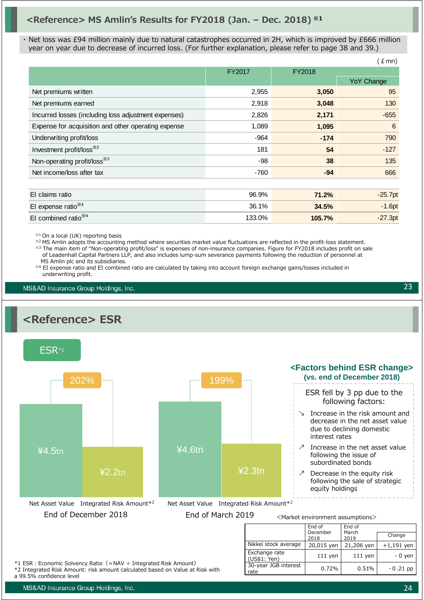### **<Reference> MS Amlin's Results for FY2018 (Jan. – Dec. 2018) ※1**

・ Net loss was £94 million mainly due to natural catastrophes occurred in 2H, which is improved by £666 million year on year due to decrease of incurred loss. (For further explanation, please refer to page 38 and 39.)

|                                                      |        |        | $E$ mn)    |
|------------------------------------------------------|--------|--------|------------|
|                                                      | FY2017 | FY2018 |            |
|                                                      |        |        | YoY Change |
| Net premiums written                                 | 2,955  | 3,050  | 95         |
| Net premiums earned                                  | 2,918  | 3,048  | 130        |
| Incurred losses (including loss adjustment expenses) | 2,826  | 2,171  | $-655$     |
| Expense for acquisition and other operating expense  | 1,089  | 1,095  | 6          |
| Underwriting profit/loss                             | -964   | $-174$ | 790        |
| Investment profit/loss <sup>*/2</sup>                | 181    | 54     | $-127$     |
| Non-operating profit/loss <sup>363</sup>             | -98    | 38     | 135        |
| Net income/loss after tax                            | $-760$ | $-94$  | 666        |
|                                                      |        |        |            |
| El claims ratio                                      | 96.9%  | 71.2%  | $-25.7pt$  |
| El expense ratio <sup>*4</sup>                       | 36.1%  | 34.5%  | $-1.6pt$   |
| El combined ratio <sup>**4</sup>                     | 133.0% | 105.7% | $-27.3pt$  |

※1 On a local (UK) reporting basis

※2 MS Amlin adopts the accounting method where securities market value fluctuations are reflected in the profit-loss statement. ※3 The main item of "Non-operating profit/loss" is expenses of non-insurance companies. Figure for FY2018 includes profit on sale of Leadenhall Capital Partners LLP, and also includes lump-sum severance payments following the reduction of personnel at MS Amlin plc and its subsidiaries.

※4 EI expense ratio and EI combined ratio are calculated by taking into account foreign exchange gains/losses included in underwriting profit.

MS&AD Insurance Group Holdings, Inc.

## **<Reference> ESR**



MS&AD Insurance Group Holdings, Inc.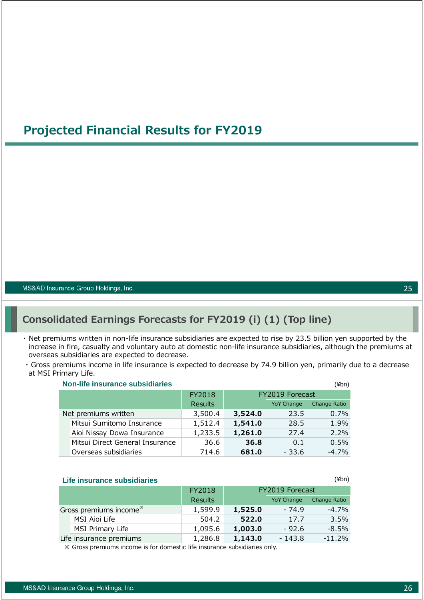### **Projected Financial Results for FY2019**

MS&AD Insurance Group Holdings, Inc.

### **Consolidated Earnings Forecasts for FY2019 (i) (1) (Top line)**

- ・ Net premiums written in non-life insurance subsidiaries are expected to rise by 23.5 billion yen supported by the increase in fire, casualty and voluntary auto at domestic non-life insurance subsidiaries, although the premiums at overseas subsidiaries are expected to decrease.
- ・ Gross premiums income in life insurance is expected to decrease by 74.9 billion yen, primarily due to a decrease at MSI Primary Life.

| <b>Non-life insurance subsidiaries</b> |         |                 |                   | (¥bn)        |
|----------------------------------------|---------|-----------------|-------------------|--------------|
|                                        | FY2018  | FY2019 Forecast |                   |              |
|                                        | Results |                 | <b>YoY Change</b> | Change Ratio |
| Net premiums written                   | 3,500.4 | 3,524.0         | 23.5              | 0.7%         |
| Mitsui Sumitomo Insurance              | 1,512.4 | 1,541.0         | 28.5              | 1.9%         |
| Aioi Nissay Dowa Insurance             | 1,233.5 | 1,261.0         | 27.4              | $2.2\%$      |
| Mitsui Direct General Insurance        | 36.6    | 36.8            | 0.1               | 0.5%         |
| Overseas subsidiaries                  | 714.6   | 681.0           | $-33.6$           | $-4.7%$      |

|  |  |  | Life insurance subsidiaries |
|--|--|--|-----------------------------|
|--|--|--|-----------------------------|

|                                    | FY2018         | FY2019 Forecast |                   |              |
|------------------------------------|----------------|-----------------|-------------------|--------------|
|                                    | <b>Results</b> |                 | <b>YoY Change</b> | Change Ratio |
| Gross premiums income <sup>*</sup> | 1,599.9        | 1,525.0         | $-74.9$           | $-4.7\%$     |
| MSI Aioi Life                      | 504.2          | 522.0           | 17.7              | $3.5\%$      |
| MSI Primary Life                   | 1,095.6        | 1,003.0         | $-92.6$           | $-8.5%$      |
| Life insurance premiums            | 1,286.8        | 1,143.0         | $-143.8$          | $-11.2%$     |

※ Gross premiums income is for domestic life insurance subsidiaries only.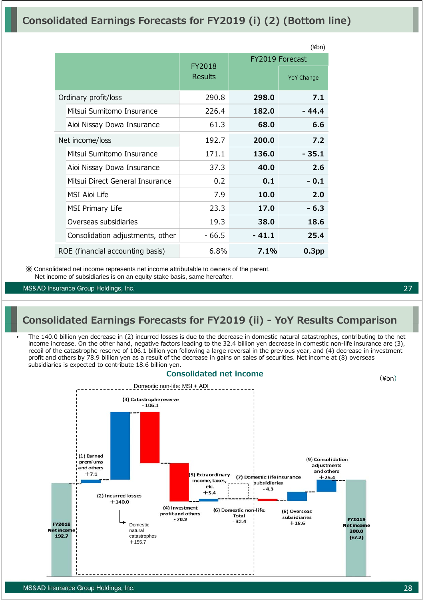### **Consolidated Earnings Forecasts for FY2019 (i) (2) (Bottom line)**

|                                  |                   |        | $(\nexists b^n)$                     |
|----------------------------------|-------------------|--------|--------------------------------------|
|                                  | FY2018<br>Results |        | FY2019 Forecast<br><b>YoY Change</b> |
| Ordinary profit/loss             | 290.8             | 298.0  | 7.1                                  |
| Mitsui Sumitomo Insurance        | 226.4             | 182.0  | - 44.4                               |
| Aioi Nissay Dowa Insurance       | 61.3              | 68.0   | 6.6                                  |
| Net income/loss                  | 192.7             | 200.0  | 7.2                                  |
| Mitsui Sumitomo Insurance        | 171.1             | 136.0  | - 35.1                               |
| Aioi Nissay Dowa Insurance       | 37.3              | 40.0   | 2.6                                  |
| Mitsui Direct General Insurance  | 0.2               | 0.1    | $-0.1$                               |
| MSI Aioi Life                    | 7.9               | 10.0   | 2.0                                  |
| MSI Primary Life                 | 23.3              | 17.0   | $-6.3$                               |
| Overseas subsidiaries            | 19.3              | 38.0   | 18.6                                 |
| Consolidation adjustments, other | - 66.5            | - 41.1 | 25.4                                 |
| ROE (financial accounting basis) | 6.8%              | 7.1%   | 0.3 <sub>pp</sub>                    |

※ Consolidated net income represents net income attributable to owners of the parent. Net income of subsidiaries is on an equity stake basis, same hereafter.

MS&AD Insurance Group Holdings, Inc.

### **Consolidated Earnings Forecasts for FY2019 (ii) - YoY Results Comparison**

• The 140.0 billion yen decrease in (2) incurred losses is due to the decrease in domestic natural catastrophes, contributing to the net income increase. On the other hand, negative factors leading to the 32.4 billion yen decrease in domestic non-life insurance are (3), recoil of the catastrophe reserve of 106.1 billion yen following a large reversal in the previous year, and (4) decrease in investment profit and others by 78.9 billion yen as a result of the decrease in gains on sales of securities. Net income at (8) overseas subsidiaries is expected to contribute 18.6 billion yen.

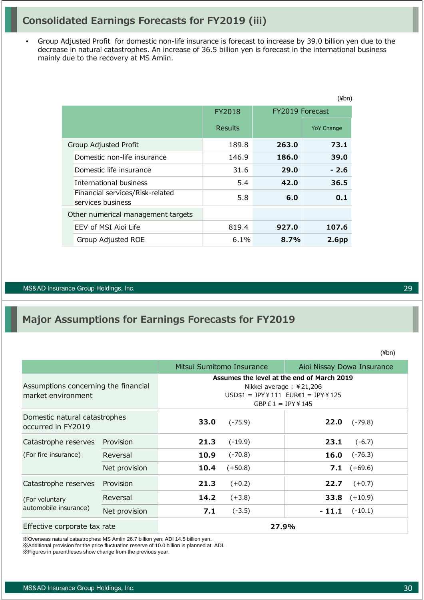### **Consolidated Earnings Forecasts for FY2019 (iii)**

• Group Adjusted Profit for domestic non-life insurance is forecast to increase by 39.0 billion yen due to the decrease in natural catastrophes. An increase of 36.5 billion yen is forecast in the international business mainly due to the recovery at MS Amlin.

|                                                      |         |                 | (¥bn)             |
|------------------------------------------------------|---------|-----------------|-------------------|
|                                                      | FY2018  | FY2019 Forecast |                   |
|                                                      | Results |                 | <b>YoY Change</b> |
| Group Adjusted Profit                                | 189.8   | 263.0           | 73.1              |
| Domestic non-life insurance                          | 146.9   | 186.0           | 39.0              |
| Domestic life insurance                              | 31.6    | 29.0            | $-2.6$            |
| International business                               | 5.4     | 42.0            | 36.5              |
| Financial services/Risk-related<br>services business | 5.8     | 6.0             | 0.1               |
| Other numerical management targets                   |         |                 |                   |
| EEV of MSI Aioi Life                                 | 819.4   | 927.0           | 107.6             |
| Group Adjusted ROE                                   | $6.1\%$ | 8.7%            | 2.6 <sub>pp</sub> |

#### MS&AD Insurance Group Holdings, Inc.

### **Major Assumptions for Earnings Forecasts for FY2019**

(¥bn)

29

|                                                            |               |                                                                                                                                             | Mitsui Sumitomo Insurance | Aioi Nissay Dowa Insurance |                      |  |
|------------------------------------------------------------|---------------|---------------------------------------------------------------------------------------------------------------------------------------------|---------------------------|----------------------------|----------------------|--|
| Assumptions concerning the financial<br>market environment |               | Assumes the level at the end of March 2019<br>Nikkei average: $\angle$ 21,206<br>$USD$1 = JPY¥111 EUR€1 = JPY¥125$<br>GBP $E 1 = JPY$ ¥ 145 |                           |                            |                      |  |
| Domestic natural catastrophes<br>occurred in FY2019        |               | 33.0                                                                                                                                        | $(-75.9)$                 | 22.0                       | $(-79.8)$            |  |
| Catastrophe reserves                                       | Provision     | 21.3                                                                                                                                        | $(-19.9)$                 | 23.1                       | $(-6.7)$             |  |
| (For fire insurance)                                       | Reversal      | 10.9                                                                                                                                        | $(-70.8)$                 | 16.0                       | $(-76.3)$            |  |
|                                                            | Net provision | 10.4                                                                                                                                        | $(+50.8)$                 |                            | <b>7.1</b> $(+69.6)$ |  |
| Catastrophe reserves                                       | Provision     | 21.3                                                                                                                                        | $(+0.2)$                  | 22.7                       | $(+0.7)$             |  |
| (For voluntary<br>automobile insurance)                    | Reversal      | 14.2                                                                                                                                        | $(+3.8)$                  | 33.8                       | $(+10.9)$            |  |
|                                                            | Net provision | 7.1                                                                                                                                         | $(-3.5)$                  | $-11.1$                    | $(-10.1)$            |  |
| Effective corporate tax rate                               |               |                                                                                                                                             | 27.9%                     |                            |                      |  |

※Overseas natural catastrophes: MS Amlin 26.7 billion yen; ADI 14.5 billion yen. ※Additional provision for the price fluctuation reserve of 10.0 billion is planned at ADI.

※Figures in parentheses show change from the previous year.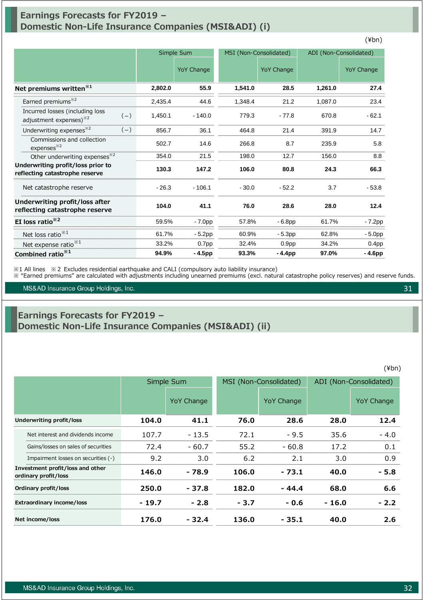### **Earnings Forecasts for FY2019 – Domestic Non-Life Insurance Companies (MSI&ADI) (i)**

|                                                                                |         | Simple Sum        |         | MSI (Non-Consolidated) |         | ADI (Non-Consolidated) |  |
|--------------------------------------------------------------------------------|---------|-------------------|---------|------------------------|---------|------------------------|--|
|                                                                                |         | <b>YoY Change</b> |         | <b>YoY Change</b>      |         | <b>YoY Change</b>      |  |
| Net premiums written <sup>*1</sup>                                             | 2,802.0 | 55.9              | 1,541.0 | 28.5                   | 1,261.0 | 27.4                   |  |
| Earned premiums <sup>*2</sup>                                                  | 2,435.4 | 44.6              | 1,348.4 | 21.2                   | 1,087.0 | 23.4                   |  |
| Incurred losses (including loss<br>$(-)$<br>adjustment expenses) <sup>32</sup> | 1,450.1 | $-140.0$          | 779.3   | $-77.8$                | 670.8   | $-62.1$                |  |
| Underwriting expenses <sup>*2</sup><br>$(-)$                                   | 856.7   | 36.1              | 464.8   | 21.4                   | 391.9   | 14.7                   |  |
| Commissions and collection<br>expenses <sup>32</sup>                           | 502.7   | 14.6              | 266.8   | 8.7                    | 235.9   | 5.8                    |  |
| Other underwriting expenses <sup>32</sup>                                      | 354.0   | 21.5              | 198.0   | 12.7                   | 156.0   | 8.8                    |  |
| Underwriting profit/loss prior to<br>reflecting catastrophe reserve            | 130.3   | 147.2             | 106.0   | 80.8                   | 24.3    | 66.3                   |  |
| Net catastrophe reserve                                                        | $-26.3$ | $-106.1$          | $-30.0$ | $-52.2$                | 3.7     | $-53.8$                |  |
| Underwriting profit/loss after<br>reflecting catastrophe reserve               | 104.0   | 41.1              | 76.0    | 28.6                   | 28.0    | 12.4                   |  |
| EI loss ratio <sup>*2</sup>                                                    | 59.5%   | $-7.0pp$          | 57.8%   | $-6.8pp$               | 61.7%   | $-7.2pp$               |  |
| Net loss ratio <sup>**1</sup>                                                  | 61.7%   | $-5.2pp$          | 60.9%   | $-5.3pp$               | 62.8%   | $-5.0pp$               |  |
| Net expense ratio <sup>*1</sup>                                                | 33.2%   | 0.7 <sub>pp</sub> | 32.4%   | 0.9 <sub>pp</sub>      | 34.2%   | 0.4 <sub>pp</sub>      |  |
| Combined ratio <sup>*1</sup>                                                   | 94.9%   | - 4.5pp           | 93.3%   | $-4.4pp$               | 97.0%   | - 4.6pp                |  |

※1 All lines ※2 Excludes residential earthquake and CALI (compulsory auto liability insurance)

※ "Earned premiums" are calculated with adjustments including unearned premiums (excl. natural catastrophe policy reserves) and reserve funds.

MS&AD Insurance Group Holdings, Inc.

### **Earnings Forecasts for FY2019 – Domestic Non-Life Insurance Companies (MSI&ADI) (ii)**

|                                                          | Simple Sum |                   |        | MSI (Non-Consolidated) |         | ADI (Non-Consolidated) |
|----------------------------------------------------------|------------|-------------------|--------|------------------------|---------|------------------------|
|                                                          |            | <b>YoY Change</b> |        | YoY Change             |         | YoY Change             |
| Underwriting profit/loss                                 | 104.0      | 41.1              | 76.0   | 28.6                   | 28.0    | 12.4                   |
| Net interest and dividends income                        | 107.7      | $-13.5$           | 72.1   | $-9.5$                 | 35.6    | $-4.0$                 |
| Gains/losses on sales of securities                      | 72.4       | $-60.7$           | 55.2   | $-60.8$                | 17.2    | 0.1                    |
| Impairment losses on securities (-)                      | 9.2        | 3.0               | 6.2    | 2.1                    | 3.0     | 0.9                    |
| Investment profit/loss and other<br>ordinary profit/loss | 146.0      | - 78.9            | 106.0  | $-73.1$                | 40.0    | $-5.8$                 |
| Ordinary profit/loss                                     | 250.0      | - 37.8            | 182.0  | $-44.4$                | 68.0    | 6.6                    |
| <b>Extraordinary income/loss</b>                         | $-19.7$    | $-2.8$            | $-3.7$ | $-0.6$                 | $-16.0$ | $-2.2$                 |
| Net income/loss                                          | 176.0      | - 32.4            | 136.0  | $-35.1$                | 40.0    | 2.6                    |

(¥bn)

31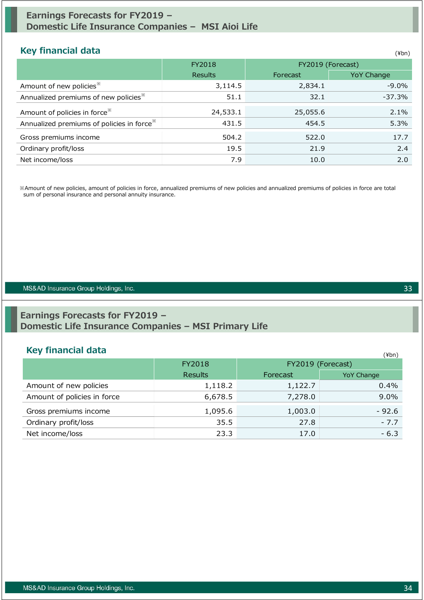### **Earnings Forecasts for FY2019 – Domestic Life Insurance Companies – MSI Aioi Life**

### **Key financial data**

| <b>Key linancial data</b>                             |                |                   | (¥bn)             |
|-------------------------------------------------------|----------------|-------------------|-------------------|
|                                                       | FY2018         | FY2019 (Forecast) |                   |
|                                                       | <b>Results</b> | Forecast          | <b>YoY Change</b> |
| Amount of new policies <sup>**</sup>                  | 3,114.5        | 2,834.1           | $-9.0\%$          |
| Annualized premiums of new policies <sup>36</sup>     | 51.1           | 32.1              | $-37.3%$          |
| Amount of policies in force <sup>**</sup>             | 24,533.1       | 25,055.6          | 2.1%              |
| Annualized premiums of policies in force <sup>*</sup> | 431.5          | 454.5             | 5.3%              |
| Gross premiums income                                 | 504.2          | 522.0             | 17.7              |
| Ordinary profit/loss                                  | 19.5           | 21.9              | 2.4               |
| Net income/loss                                       | 7.9            | 10.0              | 2.0               |

※Amount of new policies, amount of policies in force, annualized premiums of new policies and annualized premiums of policies in force are total sum of personal insurance and personal annuity insurance.

#### MS&AD Insurance Group Holdings, Inc.

### **Earnings Forecasts for FY2019 – Domestic Life Insurance Companies – MSI Primary Life**

### **Key financial data** (\*)

|                             | FY2018         |          | . <i>.</i><br>FY2019 (Forecast) |
|-----------------------------|----------------|----------|---------------------------------|
|                             | <b>Results</b> | Forecast | <b>YoY Change</b>               |
| Amount of new policies      | 1,118.2        | 1,122.7  | $0.4\%$                         |
| Amount of policies in force | 6,678.5        | 7,278.0  | $9.0\%$                         |
| Gross premiums income       | 1,095.6        | 1,003.0  | $-92.6$                         |
| Ordinary profit/loss        | 35.5           | 27.8     | $-7.7$                          |
| Net income/loss             | 23.3           | 17.0     | $-6.3$                          |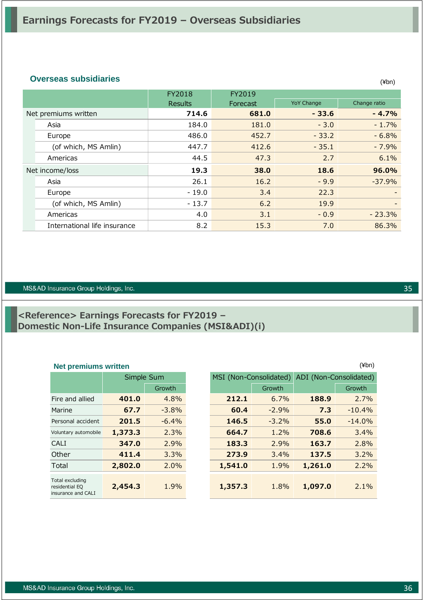### **Overseas subsidiaries** (¥bn)

|                              | FY2018<br><b>Results</b> | FY2019<br>Forecast | <b>YoY Change</b> | Change ratio |
|------------------------------|--------------------------|--------------------|-------------------|--------------|
| Net premiums written         | 714.6                    | 681.0              | $-33.6$           | $-4.7%$      |
| Asia                         | 184.0                    | 181.0              | $-3.0$            | $-1.7%$      |
| Europe                       | 486.0                    | 452.7              | $-33.2$           | $-6.8%$      |
| (of which, MS Amlin)         | 447.7                    | 412.6              | $-35.1$           | $-7.9%$      |
| Americas                     | 44.5                     | 47.3               | 2.7               | 6.1%         |
| Net income/loss              | 19.3                     | 38.0               | 18.6              | 96.0%        |
| Asia                         | 26.1                     | 16.2               | $-9.9$            | $-37.9%$     |
| Europe                       | $-19.0$                  | 3.4                | 22.3              |              |
| (of which, MS Amlin)         | $-13.7$                  | 6.2                | 19.9              |              |
| Americas                     | 4.0                      | 3.1                | $-0.9$            | $-23.3%$     |
| International life insurance | 8.2                      | 15.3               | 7.0               | 86.3%        |

#### MS&AD Insurance Group Holdings, Inc.

### **<Reference> Earnings Forecasts for FY2019 – Domestic Non-Life Insurance Companies (MSI&ADI)(i)**

|                                                         | Simple Sum |          |  |
|---------------------------------------------------------|------------|----------|--|
|                                                         |            | Growth   |  |
| Fire and allied                                         | 401.0      | 4.8%     |  |
| Marine                                                  | 67.7       | $-3.8%$  |  |
| Personal accident                                       | 201.5      | $-6.4\%$ |  |
| Voluntary automobile                                    | 1,373.3    | 2.3%     |  |
| CALI                                                    | 347.0      | 2.9%     |  |
| Other                                                   | 411.4      | 3.3%     |  |
| Total                                                   | 2,802.0    | 2.0%     |  |
| Total excluding<br>residential EQ<br>insurance and CALI | 2,454.3    | 1.9%     |  |

| $(\nexists b^n)$<br><b>Net premiums written</b>         |         |            |  |                        |         |                        |          |
|---------------------------------------------------------|---------|------------|--|------------------------|---------|------------------------|----------|
|                                                         |         | Simple Sum |  | MSI (Non-Consolidated) |         | ADI (Non-Consolidated) |          |
|                                                         |         | Growth     |  |                        | Growth  |                        | Growth   |
| Fire and allied                                         | 401.0   | 4.8%       |  | 212.1                  | 6.7%    | 188.9                  | 2.7%     |
| Marine                                                  | 67.7    | $-3.8%$    |  | 60.4                   | $-2.9%$ | 7.3                    | $-10.4%$ |
| Personal accident                                       | 201.5   | $-6.4%$    |  | 146.5                  | $-3.2%$ | 55.0                   | $-14.0%$ |
| Voluntary automobile                                    | 1,373.3 | 2.3%       |  | 664.7                  | 1.2%    | 708.6                  | 3.4%     |
| <b>CALI</b>                                             | 347.0   | 2.9%       |  | 183.3                  | 2.9%    | 163.7                  | 2.8%     |
| Other                                                   | 411.4   | 3.3%       |  | 273.9                  | 3.4%    | 137.5                  | 3.2%     |
| Total                                                   | 2,802.0 | 2.0%       |  | 1,541.0                | 1.9%    | 1,261.0                | 2.2%     |
| Total excluding<br>residential EQ<br>insurance and CALI | 2,454.3 | 1.9%       |  | 1,357.3                | 1.8%    | 1,097.0                | 2.1%     |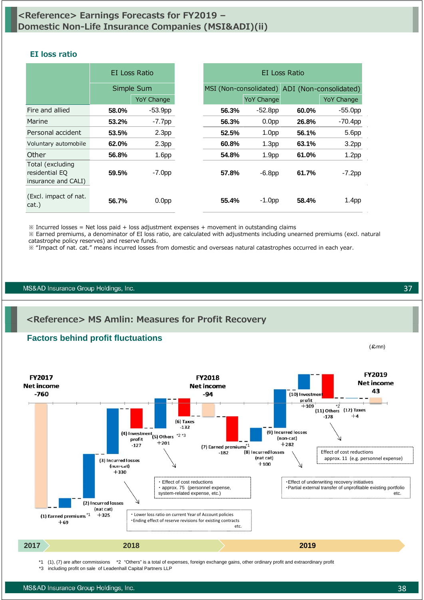### **<Reference> Earnings Forecasts for FY2019 – Domestic Non-Life Insurance Companies (MSI&ADI)(ii)**

#### **EI loss ratio**

|                                                           | EI Loss Ratio |                   | EI Loss Ratio          |                   |                        |                   |
|-----------------------------------------------------------|---------------|-------------------|------------------------|-------------------|------------------------|-------------------|
|                                                           |               | Simple Sum        | MSI (Non-consolidated) |                   | ADI (Non-consolidated) |                   |
|                                                           |               | <b>YoY Change</b> |                        | <b>YoY Change</b> |                        | <b>YoY Change</b> |
| Fire and allied                                           | 58.0%         | $-53.9pp$         | 56.3%                  | $-52.8pp$         | 60.0%                  | $-55.0pp$         |
| Marine                                                    | 53.2%         | $-7.7$ pp         | 56.3%                  | 0.0 <sub>pp</sub> | 26.8%                  | $-70.4$ pp        |
| Personal accident                                         | 53.5%         | 2.3 <sub>pp</sub> | 52.5%                  | 1.0 <sub>pp</sub> | 56.1%                  | 5.6pp             |
| Voluntary automobile                                      | 62.0%         | 2.3 <sub>pp</sub> | 60.8%                  | 1.3 <sub>pp</sub> | 63.1%                  | 3.2 <sub>pp</sub> |
| Other                                                     | 56.8%         | 1.6 <sub>pp</sub> | 54.8%                  | 1.9 <sub>pp</sub> | 61.0%                  | 1.2 <sub>pp</sub> |
| Total (excluding<br>residential EQ<br>insurance and CALI) | 59.5%         | $-7.0pp$          | 57.8%                  | $-6.8pp$          | 61.7%                  | $-7.2pp$          |
| (Excl. impact of nat.<br>cat.)                            | 56.7%         | 0.0 <sub>pp</sub> | 55.4%                  | $-1.0$ pp         | 58.4%                  | 1.4 <sub>pp</sub> |

 $\%$  Incurred losses = Net loss paid + loss adjustment expenses + movement in outstanding claims

**<Reference> MS Amlin: Measures for Profit Recovery**

※ Earned premiums, a denominator of EI loss ratio, are calculated with adjustments including unearned premiums (excl. natural catastrophe policy reserves) and reserve funds.

※ "Impact of nat. cat." means incurred losses from domestic and overseas natural catastrophes occurred in each year.

MS&AD Insurance Group Holdings, Inc.



\*1 (1), (7) are after commissions \*2 "Others" is a total of expenses, foreign exchange gains, other ordinary profit and extraordinary profit

\*3 including profit on sale of Leadenhall Capital Partners LLP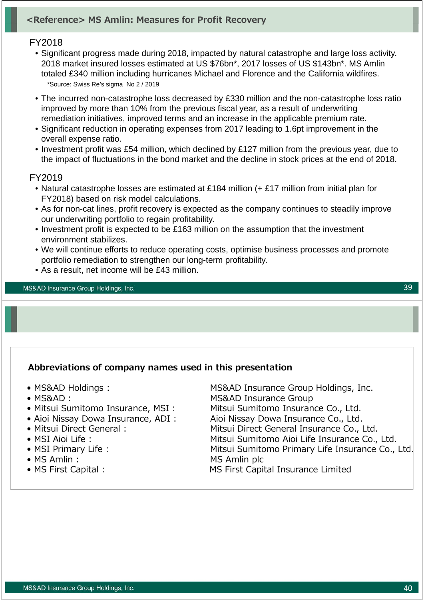### **<Reference> MS Amlin: Measures for Profit Recovery**

### FY2018

- Significant progress made during 2018, impacted by natural catastrophe and large loss activity. 2018 market insured losses estimated at US \$76bn\*, 2017 losses of US \$143bn\*. MS Amlin totaled £340 million including hurricanes Michael and Florence and the California wildfires. \*Source: Swiss Re's sigma No 2 / 2019
- The incurred non-catastrophe loss decreased by £330 million and the non-catastrophe loss ratio improved by more than 10% from the previous fiscal year, as a result of underwriting remediation initiatives, improved terms and an increase in the applicable premium rate.
- Significant reduction in operating expenses from 2017 leading to 1.6pt improvement in the overall expense ratio.
- Investment profit was £54 million, which declined by £127 million from the previous year, due to the impact of fluctuations in the bond market and the decline in stock prices at the end of 2018.

#### FY2019

- Natural catastrophe losses are estimated at £184 million (+ £17 million from initial plan for FY2018) based on risk model calculations.
- As for non-cat lines, profit recovery is expected as the company continues to steadily improve our underwriting portfolio to regain profitability.
- Investment profit is expected to be £163 million on the assumption that the investment environment stabilizes.
- We will continue efforts to reduce operating costs, optimise business processes and promote portfolio remediation to strengthen our long-term profitability.
- As a result, net income will be £43 million.

MS&AD Insurance Group Holdings, Inc.

### **Abbreviations of company names used in this presentation**

- 
- 
- 
- 
- 
- 
- 
- 
- 

• MS&AD Holdings : MS&AD Insurance Group Holdings, Inc. • MS&AD: MS&AD Insurance Group • Mitsui Sumitomo Insurance, MSI : Mitsui Sumitomo Insurance Co., Ltd. • Aioi Nissay Dowa Insurance, ADI : Aioi Nissay Dowa Insurance Co., Ltd. • Mitsui Direct General : Mitsui Direct General Insurance Co., Ltd. • MSI Aioi Life : Mitsui Sumitomo Aioi Life Insurance Co., Ltd. • MSI Primary Life : Mitsui Sumitomo Primary Life Insurance Co., Ltd. • MS Amlin : MS Amlin plc • MS First Capital : MS First Capital Insurance Limited